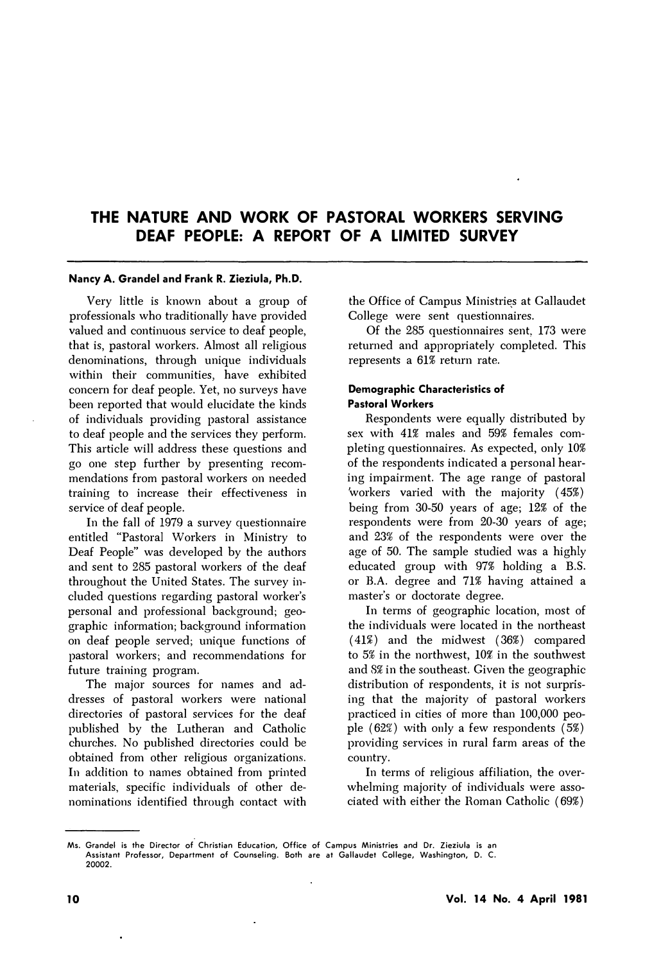# **THE NATURE AND WORK OF PASTORAL WORKERS SERVING DEAF PEOPLE: A REPORT OF A LIMITED SURVEY**

#### **Nancy A. Grandel and Frank R. Zieziula, Ph.D.**

Very little is known about a group of professionals who traditionally have provided valued and continuous service to deaf people, that is, pastoral workers. Almost all religious denominations, through unique individuals within their communities, have exhibited concern for deaf people. Yet, no surveys have been reported that would elucidate the kinds of individuals providing pastoral assistance to deaf people and the services they perform. This article will address these questions and go one step further by presenting recommendations from pastoral workers on needed training to increase their effectiveness in service of deaf people.

In the fall of 1979 a survey questionnaire entitled "Pastoral Workers in Ministry to Deaf People" was developed by the authors and sent to 285 pastoral workers of the deaf throughout the United States. The survey included questions regarding pastoral worker's personal and professional background; geographic information; background information on deaf people served; unique functions of pastoral workers; and recommendations for future training program.

The major sources for names and addresses of pastoral workers were national directories of pastoral services for the deaf published by the Lutheran and Catholic churches. No published directories could be obtained from other religious organizations. In addition to names obtained from printed materials, specific individuals of other denominations identified through contact with

the Office of Campus Ministries at Gallaudet College were sent questionnaires.

Of the 285 questionnaires sent, 173 were returned and appropriately completed. This represents a 61% return rate.

## **Demographic Characteristics of Pastoral Workers**

Respondents were equally distributed by sex with 41% males and 59% females completing questionnaires. As expected, only 10% of the respondents indicated a personal hearing impairment. The age range of pastoral 'workers varied with the majority ( 45%) being from 30-50 years of age; 12% of the respondents were from 20-30 years of age; and 23% of the respondents were over the age of 50. The sample studied was a highly educated group with 97% holding a B.S. or B.A. degree and 71% having attained a master's or doctorate degree.

In terms of geographic location, most of the individuals were located in the northeast  $(41\%)$  and the midwest  $(36\%)$  compared to 5% in the northwest, 10% in the southwest and 8% in the southeast. Given the geographic distribution of respondents, it is not surprising that the majority of pastoral workers practiced in cities of more than 100,000 people  $(62\%)$  with only a few respondents  $(5\%)$ providing services in rural farm areas of the country.

In terms of religious affiliation, the overwhelming majority of individuals were associated with either the Homan Catholic (69%)

**Ms. Grandel is the Director of Christian Education, Office of Campus Ministries and Dr. Zieziula is an Assistant Professor, Department of Counseling. Both are at Gallaudet College, Washington, D. C. 20002.**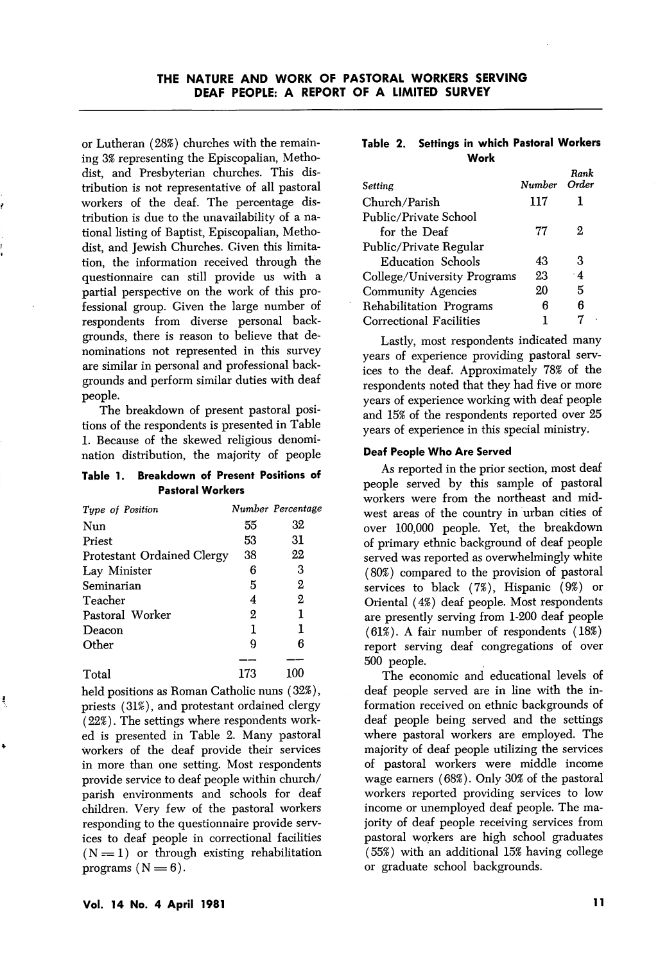or Lutheran (28%) churches with the remain ing 3% representing the Episcopalian, Metho dist, and Presbyterian churches. This dis tribution is not representative of all pastoral workers of the deaf. The percentage dis tribution is due to the unavailability of a na tional listing of Baptist, Episcopalian, Metho dist, and Jewish Churches. Given this limita tion, the information received through the questionnaire can still provide us with a partial perspective on the work of this pro fessional group. Given the large number of respondents from diverse personal back grounds, there is reason to believe that de nominations not represented in this survey are similar in personal and professional back grounds and perform similar duties with deaf people.

The breakdown of present pastoral posi tions of the respondents is presented in Table 1. Because of the skewed religious denomi nation distribution, the majority of people

#### Table 1. Breakdown of Present Positions of Pastoral Workers

| Type of Position                  |     | Number Percentage |
|-----------------------------------|-----|-------------------|
| Nun                               | 55  | 32                |
| Priest                            | 53  | 31                |
| <b>Protestant Ordained Clergy</b> | 38  | 22                |
| Lay Minister                      | R   | З                 |
| Seminarian                        | 5   | 2                 |
| Teacher                           | 4   | 2                 |
| Pastoral Worker                   | 2   | 1                 |
| Deacon                            | 1   | ı                 |
| Other                             | 9   | В                 |
|                                   |     |                   |
| Total                             | 173 | 100               |

held positions as Roman Catholic nuns (32%), priests (31%), and protestant ordained clergy (22%). The settings where respondents work ed is presented in Table 2. Many pastoral workers of the deaf provide their services in more than one setting. Most respondents provide service to deaf people within church/ parish environments and schools for deaf children. Very few of the pastoral workers responding to the questionnaire provide serv ices to deaf people in correctional facilities  $(N = 1)$  or through existing rehabilitation programs  $(N = 6)$ .

### Table 2. Settings in which Pastoral Workers Work

| Setting                     | Number Order | Rank      |
|-----------------------------|--------------|-----------|
| Church/Parish               | 117          |           |
| Public/Private School       |              |           |
| for the Deaf                | 77           | 2         |
| Public/Private Regular      |              |           |
| Education Schools           | 43           | 3         |
| College/University Programs | 23           | $\cdot$ 4 |
| <b>Community Agencies</b>   | 20           | 5         |
| Rehabilitation Programs     | 6            | 6         |
| Correctional Facilities     |              |           |

Lastly, most respondents indicated many years of experience providing pastoral serv ices to the deaf. Approximately 78% of the respondents noted that they had five or more years of experience working with deaf people and 15% of the respondents reported over 25 years of experience in this special ministry.

## Deaf People Who Are Served

As reported in the prior section, most deaf people served by this sample of pastoral workers were from the northeast and mid west areas of the country in urban cities of over 100,000 people. Yet, the breakdown of primary ethnic background of deaf people served was reported as overwhelmingly white (80%) compared to the provision of pastoral services to black (7%), Hispanic (9%) or Oriental (4%) deaf people. Most respondents are presently serving from 1-200 deaf people (61%). A fair number of respondents (18%) report serving deaf congregations of over 500 people.

The economic and educational levels of deaf people served are in line with the in formation received on ethnic backgrounds of deaf people being served and the settings where pastoral workers are employed. The majority of deaf people utilizing the services of pastoral workers were middle income wage earners (68%). Only 30% of the pastoral workers reported providing services to low income or unemployed deaf people. The ma jority of deaf people receiving services from pastoral workers are high school graduates (55%) with an additional 15% having college or graduate school backgrounds.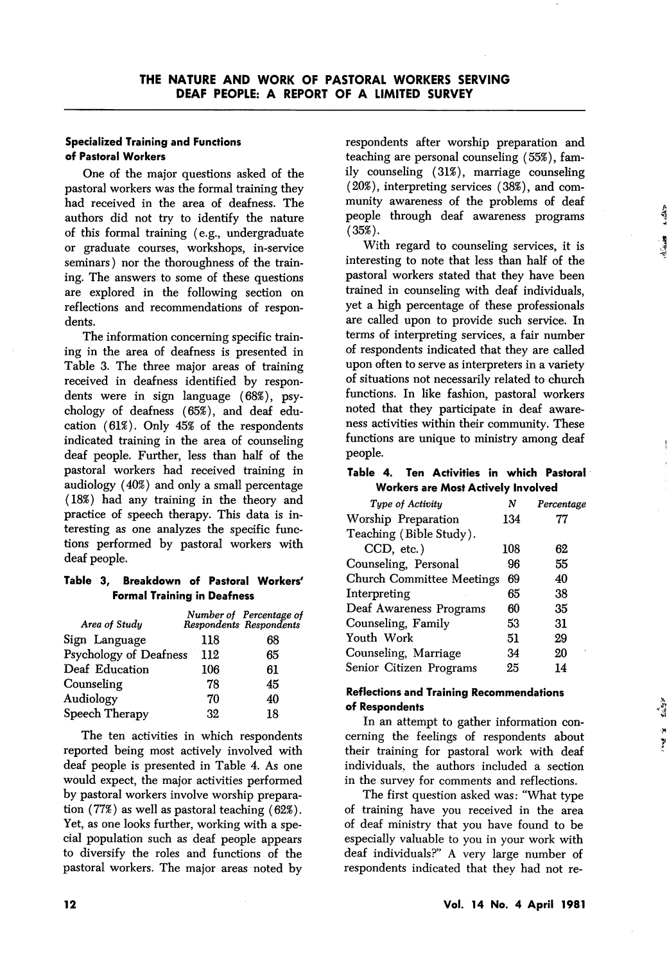## Specialized Training and Functions of Pastoral Workers

One of the major questions asked of the pastoral workers was the formal training they had received in the area of deafness. The authors did not try to identify the nature of this formal training (e.g., undergraduate or graduate courses, workshops, in-service seminars) nor the thoroughness of the train ing. The answers to some of these questions are explored in the following section on reflections and recommendations of respon dents.

The information concerning specific train ing in the area of deafness is presented in Table 3. The three major areas of training received in deafness identified by respon dents were in sign language (68%), psy chology of deafness (65%), and deaf edu cation (61%). Only 45% of the respondents indicated training in the area of counseling deaf people. Further, less than half of the pastoral workers had received training in audiology (40%) and only a small percentage (18%) had any training in the theory and practice of speech therapy. This data is in teresting as one analyzes the specific func tions performed by pastoral workers with deaf people.

## Table 3, Breakdown of Pastoral Workers' Formal Training in Deafness

|                               | Number of Percentage of<br>Respondents Respondents |
|-------------------------------|----------------------------------------------------|
| 118                           | 68                                                 |
| Psychology of Deafness<br>112 | 65                                                 |
| 106                           | 61                                                 |
| 78                            | 45                                                 |
| 70                            | 40                                                 |
| 32                            | 18                                                 |
|                               |                                                    |

The ten activities in which respondents reported being most actively involved with deaf people is presented in Table 4. As one would expect, the major activities performed by pastoral workers involve worship prepara tion (77%) as well as pastoral teaching (62%). Yet, as one looks further, working with a spe cial population such as deaf people appears to diversify the roles and functions of the pastoral workers. The major areas noted by

respondents after worship preparation and teaching are personal counseling (55%), fam ily counseling (31%), marriage counseling (20%), interpreting services (38%), and com munity awareness of the problems of deaf people through deaf awareness programs  $(35\%)$ .

With regard to counseling services, it is interesting to note that less than half of the pastoral workers stated that they have been trained in counseling with deaf individuals, yet a high percentage of these professionals are called upon to provide such service. In terms of interpreting services, a fair number of respondents indicated that they are called upon often to serve as interpreters in a variety of situations not necessarily related to church functions. In like fashion, pastoral workers noted that they participate in deaf aware ness activities within their community. These functions are unique to ministry among deaf people.

## Table 4. Ten Activities in which Pastoral Workers are Most Actively Involved

| Tupe of Activitu                 | N   | Percentage |
|----------------------------------|-----|------------|
| Worship Preparation              | 134 | 77         |
| Teaching (Bible Study).          |     |            |
| CCD, etc.)                       | 108 | 62         |
| Counseling, Personal             | 96  | 55         |
| <b>Church Committee Meetings</b> | 69  | 40         |
| Interpreting                     | 65  | 38         |
| Deaf Awareness Programs          | 60  | 35         |
| Counseling, Family               | 53  | 31         |
| Youth Work                       | 51  | 29         |
| Counseling, Marriage             | 34  | 20         |
| Senior Citizen Programs          | 25  | 14         |
|                                  |     |            |

## Reflections and Training Recommendations of Respondents

In an attempt to gather information con cerning the feelings of respondents about their training for pastoral work with deaf individuals, the authors included a section in the survey for comments and reflections.

The first question asked was: "What type of training have you received in the area of deaf ministry that you have found to be especially valuable to you in your work with deaf individuals?" A very large number of respondents indicated that they had not re